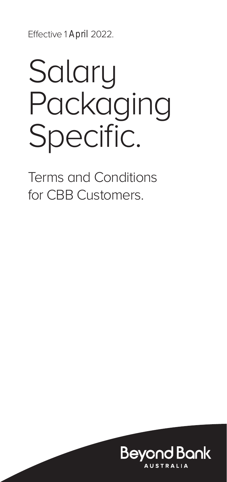Effective 1 April 2022.

# **Salary** Packaging Specific.

Terms and Conditions for CBB Customers.

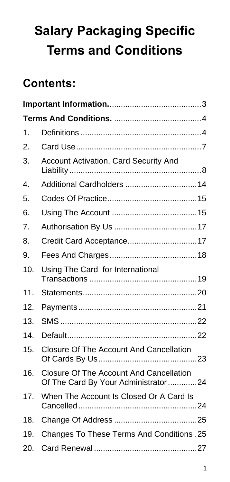# **Salary Packaging Specific Terms and Conditions**

# **Contents:**

| 1.  |                                                                                       |  |  |  |  |
|-----|---------------------------------------------------------------------------------------|--|--|--|--|
| 2.  |                                                                                       |  |  |  |  |
| 3.  | <b>Account Activation, Card Security And</b>                                          |  |  |  |  |
| 4.  | Additional Cardholders  14                                                            |  |  |  |  |
| 5.  |                                                                                       |  |  |  |  |
| 6.  |                                                                                       |  |  |  |  |
| 7.  |                                                                                       |  |  |  |  |
| 8.  | Credit Card Acceptance17                                                              |  |  |  |  |
| 9.  |                                                                                       |  |  |  |  |
| 10. | Using The Card for International                                                      |  |  |  |  |
| 11. |                                                                                       |  |  |  |  |
| 12. |                                                                                       |  |  |  |  |
| 13. |                                                                                       |  |  |  |  |
| 14. |                                                                                       |  |  |  |  |
| 15. | <b>Closure Of The Account And Cancellation</b>                                        |  |  |  |  |
| 16. | <b>Closure Of The Account And Cancellation</b><br>Of The Card By Your Administrator24 |  |  |  |  |
| 17. | When The Account Is Closed Or A Card Is                                               |  |  |  |  |
| 18. |                                                                                       |  |  |  |  |
| 19. | Changes To These Terms And Conditions .25                                             |  |  |  |  |
| 20. |                                                                                       |  |  |  |  |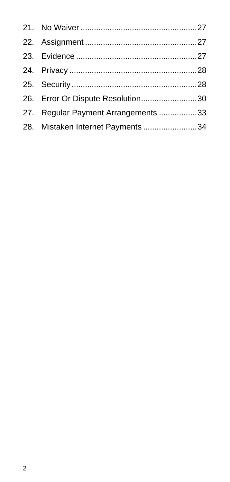| 26. Error Or Dispute Resolution30   |  |
|-------------------------------------|--|
| 27. Regular Payment Arrangements 33 |  |
| 28. Mistaken Internet Payments 34   |  |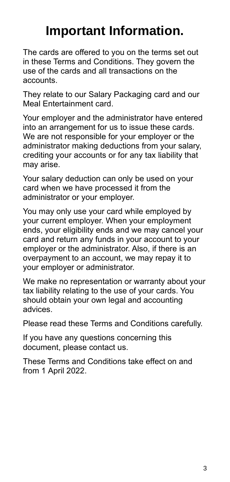# **Important Information.**

The cards are offered to you on the terms set out in these Terms and Conditions. They govern the use of the cards and all transactions on the accounts.

They relate to our Salary Packaging card and our Meal Entertainment card.

Your employer and the administrator have entered into an arrangement for us to issue these cards. We are not responsible for your employer or the administrator making deductions from your salary, crediting your accounts or for any tax liability that may arise.

Your salary deduction can only be used on your card when we have processed it from the administrator or your employer.

You may only use your card while employed by your current employer. When your employment ends, your eligibility ends and we may cancel your card and return any funds in your account to your employer or the administrator. Also, if there is an overpayment to an account, we may repay it to your employer or administrator.

We make no representation or warranty about your tax liability relating to the use of your cards. You should obtain your own legal and accounting advices.

Please read these Terms and Conditions carefully.

If you have any questions concerning this document, please contact us.

These Terms and Conditions take effect on and from 1 April 2022.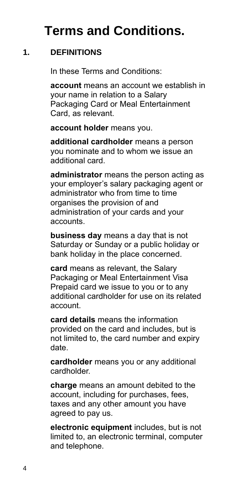# **Terms and Conditions.**

## **1. DEFINITIONS**

In these Terms and Conditions:

**account** means an account we establish in your name in relation to a Salary Packaging Card or Meal Entertainment Card, as relevant.

**account holder** means you.

**additional cardholder** means a person you nominate and to whom we issue an additional card.

**administrator** means the person acting as your employer's salary packaging agent or administrator who from time to time organises the provision of and administration of your cards and your accounts.

**business day** means a day that is not Saturday or Sunday or a public holiday or bank holiday in the place concerned.

**card** means as relevant, the Salary Packaging or Meal Entertainment Visa Prepaid card we issue to you or to any additional cardholder for use on its related account.

**card details** means the information provided on the card and includes, but is not limited to, the card number and expiry date.

**cardholder** means you or any additional cardholder.

**charge** means an amount debited to the account, including for purchases, fees, taxes and any other amount you have agreed to pay us.

**electronic equipment** includes, but is not limited to, an electronic terminal, computer and telephone.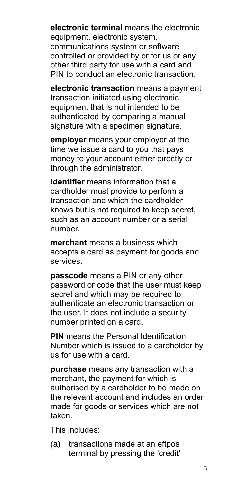**electronic terminal** means the electronic equipment, electronic system, communications system or software controlled or provided by or for us or any other third party for use with a card and PIN to conduct an electronic transaction.

**electronic transaction** means a payment transaction initiated using electronic equipment that is not intended to be authenticated by comparing a manual signature with a specimen signature.

**employer** means your employer at the time we issue a card to you that pays money to your account either directly or through the administrator.

**identifier** means information that a cardholder must provide to perform a transaction and which the cardholder knows but is not required to keep secret, such as an account number or a serial number.

**merchant** means a business which accepts a card as payment for goods and services.

**passcode** means a PIN or any other password or code that the user must keep secret and which may be required to authenticate an electronic transaction or the user. It does not include a security number printed on a card.

**PIN** means the Personal Identification Number which is issued to a cardholder by us for use with a card.

**purchase** means any transaction with a merchant, the payment for which is authorised by a cardholder to be made on the relevant account and includes an order made for goods or services which are not taken.

This includes:

(a) transactions made at an eftpos terminal by pressing the 'credit'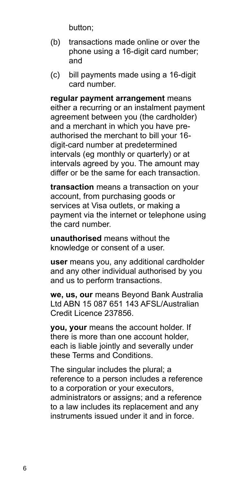button;

- (b) transactions made online or over the phone using a 16-digit card number; and
- (c) bill payments made using a 16-digit card number.

**regular payment arrangement** means either a recurring or an instalment payment agreement between you (the cardholder) and a merchant in which you have preauthorised the merchant to bill your 16 digit-card number at predetermined intervals (eg monthly or quarterly) or at intervals agreed by you. The amount may differ or be the same for each transaction.

**transaction** means a transaction on your account, from purchasing goods or services at Visa outlets, or making a payment via the internet or telephone using the card number.

**unauthorised** means without the knowledge or consent of a user.

**user** means you, any additional cardholder and any other individual authorised by you and us to perform transactions.

**we, us, our** means Beyond Bank Australia Ltd ABN 15 087 651 143 AFSL/Australian Credit Licence 237856.

**you, your** means the account holder. If there is more than one account holder, each is liable jointly and severally under these Terms and Conditions.

The singular includes the plural; a reference to a person includes a reference to a corporation or your executors, administrators or assigns; and a reference to a law includes its replacement and any instruments issued under it and in force.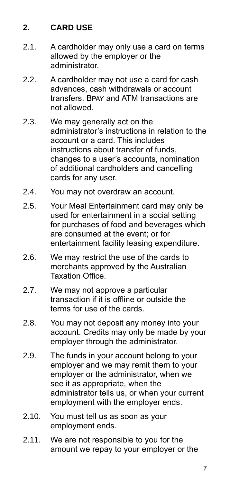# **2. CARD USE**

- 2.1. A cardholder may only use a card on terms allowed by the employer or the administrator.
- 2.2. A cardholder may not use a card for cash advances, cash withdrawals or account transfers. BPAY and ATM transactions are not allowed.
- 2.3. We may generally act on the administrator's instructions in relation to the account or a card. This includes instructions about transfer of funds, changes to a user's accounts, nomination of additional cardholders and cancelling cards for any user.
- 2.4. You may not overdraw an account.
- 2.5. Your Meal Entertainment card may only be used for entertainment in a social setting for purchases of food and beverages which are consumed at the event; or for entertainment facility leasing expenditure.
- 2.6. We may restrict the use of the cards to merchants approved by the Australian Taxation Office.
- 2.7. We may not approve a particular transaction if it is offline or outside the terms for use of the cards.
- 2.8. You may not deposit any money into your account. Credits may only be made by your employer through the administrator.
- 2.9. The funds in your account belong to your employer and we may remit them to your employer or the administrator, when we see it as appropriate, when the administrator tells us, or when your current employment with the employer ends.
- 2.10. You must tell us as soon as your employment ends.
- 2.11. We are not responsible to you for the amount we repay to your employer or the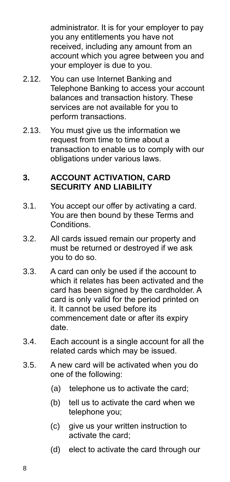administrator. It is for your employer to pay you any entitlements you have not received, including any amount from an account which you agree between you and your employer is due to you.

- 2.12. You can use Internet Banking and Telephone Banking to access your account balances and transaction history. These services are not available for you to perform transactions.
- 2.13. You must give us the information we request from time to time about a transaction to enable us to comply with our obligations under various laws.

#### **3. ACCOUNT ACTIVATION, CARD SECURITY AND LIABILITY**

- 3.1. You accept our offer by activating a card. You are then bound by these Terms and **Conditions**
- 3.2. All cards issued remain our property and must be returned or destroyed if we ask you to do so.
- 3.3. A card can only be used if the account to which it relates has been activated and the card has been signed by the cardholder. A card is only valid for the period printed on it. It cannot be used before its commencement date or after its expiry date.
- 3.4. Each account is a single account for all the related cards which may be issued.
- 3.5. A new card will be activated when you do one of the following:
	- (a) telephone us to activate the card;
	- (b) tell us to activate the card when we telephone you;
	- (c) give us your written instruction to activate the card;
	- (d) elect to activate the card through our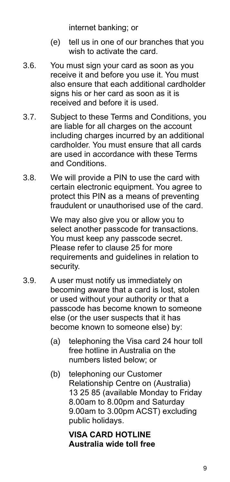internet banking; or

- (e) tell us in one of our branches that you wish to activate the card.
- 3.6. You must sign your card as soon as you receive it and before you use it. You must also ensure that each additional cardholder signs his or her card as soon as it is received and before it is used.
- 3.7. Subject to these Terms and Conditions, you are liable for all charges on the account including charges incurred by an additional cardholder. You must ensure that all cards are used in accordance with these Terms and Conditions.
- 3.8. We will provide a PIN to use the card with certain electronic equipment. You agree to protect this PIN as a means of preventing fraudulent or unauthorised use of the card.

We may also give you or allow you to select another passcode for transactions. You must keep any passcode secret. Please refer to clause 25 for more requirements and guidelines in relation to security.

- 3.9. A user must notify us immediately on becoming aware that a card is lost, stolen or used without your authority or that a passcode has become known to someone else (or the user suspects that it has become known to someone else) by:
	- (a) telephoning the Visa card 24 hour toll free hotline in Australia on the numbers listed below; or
	- (b) telephoning our Customer Relationship Centre on (Australia) 13 25 85 (available Monday to Friday 8.00am to 8.00pm and Saturday 9.00am to 3.00pm ACST) excluding public holidays.

#### **VISA CARD HOTLINE Australia wide toll free**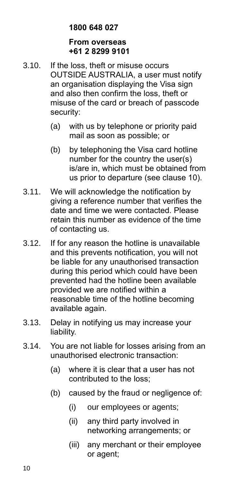#### **1800 648 027**

#### **From overseas +61 2 8299 9101**

- 3.10. If the loss, theft or misuse occurs OUTSIDE AUSTRALIA, a user must notify an organisation displaying the Visa sign and also then confirm the loss, theft or misuse of the card or breach of passcode security:
	- (a) with us by telephone or priority paid mail as soon as possible; or
	- (b) by telephoning the Visa card hotline number for the country the user(s) is/are in, which must be obtained from us prior to departure (see clause 10).
- 3.11. We will acknowledge the notification by giving a reference number that verifies the date and time we were contacted. Please retain this number as evidence of the time of contacting us.
- 3.12. If for any reason the hotline is unavailable and this prevents notification, you will not be liable for any unauthorised transaction during this period which could have been prevented had the hotline been available provided we are notified within a reasonable time of the hotline becoming available again.
- 3.13. Delay in notifying us may increase your liability.
- 3.14. You are not liable for losses arising from an unauthorised electronic transaction:
	- (a) where it is clear that a user has not contributed to the loss;
	- (b) caused by the fraud or negligence of:
		- (i) our employees or agents;
		- (ii) any third party involved in networking arrangements; or
		- (iii) any merchant or their employee or agent;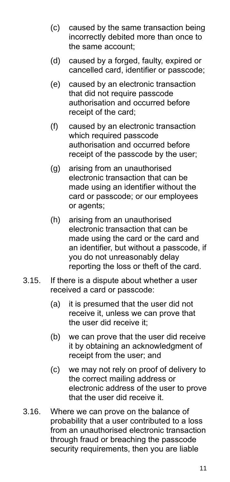- (c) caused by the same transaction being incorrectly debited more than once to the same account;
- (d) caused by a forged, faulty, expired or cancelled card, identifier or passcode;
- (e) caused by an electronic transaction that did not require passcode authorisation and occurred before receipt of the card;
- (f) caused by an electronic transaction which required passcode authorisation and occurred before receipt of the passcode by the user;
- (g) arising from an unauthorised electronic transaction that can be made using an identifier without the card or passcode; or our employees or agents;
- (h) arising from an unauthorised electronic transaction that can be made using the card or the card and an identifier, but without a passcode, if you do not unreasonably delay reporting the loss or theft of the card.
- 3.15. If there is a dispute about whether a user received a card or passcode:
	- (a) it is presumed that the user did not receive it, unless we can prove that the user did receive it;
	- (b) we can prove that the user did receive it by obtaining an acknowledgment of receipt from the user; and
	- (c) we may not rely on proof of delivery to the correct mailing address or electronic address of the user to prove that the user did receive it.
- 3.16. Where we can prove on the balance of probability that a user contributed to a loss from an unauthorised electronic transaction through fraud or breaching the passcode security requirements, then you are liable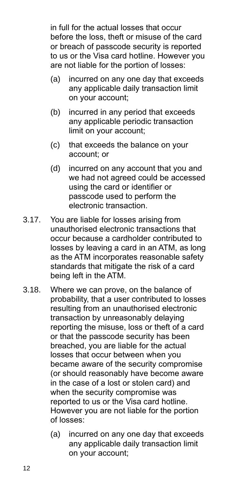in full for the actual losses that occur before the loss, theft or misuse of the card or breach of passcode security is reported to us or the Visa card hotline. However you are not liable for the portion of losses:

- (a) incurred on any one day that exceeds any applicable daily transaction limit on your account;
- (b) incurred in any period that exceeds any applicable periodic transaction limit on your account;
- (c) that exceeds the balance on your account; or
- (d) incurred on any account that you and we had not agreed could be accessed using the card or identifier or passcode used to perform the electronic transaction.
- 3.17. You are liable for losses arising from unauthorised electronic transactions that occur because a cardholder contributed to losses by leaving a card in an ATM, as long as the ATM incorporates reasonable safety standards that mitigate the risk of a card being left in the ATM.
- 3.18. Where we can prove, on the balance of probability, that a user contributed to losses resulting from an unauthorised electronic transaction by unreasonably delaying reporting the misuse, loss or theft of a card or that the passcode security has been breached, you are liable for the actual losses that occur between when you became aware of the security compromise (or should reasonably have become aware in the case of a lost or stolen card) and when the security compromise was reported to us or the Visa card hotline. However you are not liable for the portion of losses:
	- (a) incurred on any one day that exceeds any applicable daily transaction limit on your account;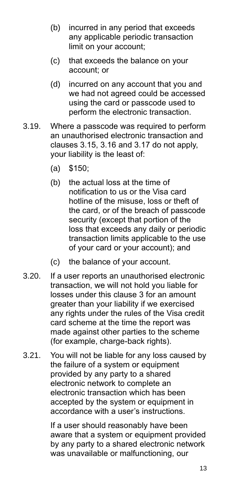- (b) incurred in any period that exceeds any applicable periodic transaction limit on your account;
- (c) that exceeds the balance on your account; or
- (d) incurred on any account that you and we had not agreed could be accessed using the card or passcode used to perform the electronic transaction.
- 3.19. Where a passcode was required to perform an unauthorised electronic transaction and clauses 3.15, 3.16 and 3.17 do not apply, your liability is the least of:
	- (a) \$150;
	- (b) the actual loss at the time of notification to us or the Visa card hotline of the misuse, loss or theft of the card, or of the breach of passcode security (except that portion of the loss that exceeds any daily or periodic transaction limits applicable to the use of your card or your account); and
	- (c) the balance of your account.
- 3.20. If a user reports an unauthorised electronic transaction, we will not hold you liable for losses under this clause 3 for an amount greater than your liability if we exercised any rights under the rules of the Visa credit card scheme at the time the report was made against other parties to the scheme (for example, charge-back rights).
- 3.21. You will not be liable for any loss caused by the failure of a system or equipment provided by any party to a shared electronic network to complete an electronic transaction which has been accepted by the system or equipment in accordance with a user's instructions.

If a user should reasonably have been aware that a system or equipment provided by any party to a shared electronic network was unavailable or malfunctioning, our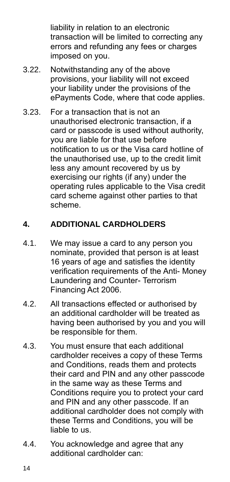liability in relation to an electronic transaction will be limited to correcting any errors and refunding any fees or charges imposed on you.

- 3.22. Notwithstanding any of the above provisions, your liability will not exceed your liability under the provisions of the ePayments Code, where that code applies.
- 3.23. For a transaction that is not an unauthorised electronic transaction, if a card or passcode is used without authority, you are liable for that use before notification to us or the Visa card hotline of the unauthorised use, up to the credit limit less any amount recovered by us by exercising our rights (if any) under the operating rules applicable to the Visa credit card scheme against other parties to that scheme.

# **4. ADDITIONAL CARDHOLDERS**

- 4.1. We may issue a card to any person you nominate, provided that person is at least 16 years of age and satisfies the identity verification requirements of the Anti- Money Laundering and Counter- Terrorism Financing Act 2006.
- 4.2. All transactions effected or authorised by an additional cardholder will be treated as having been authorised by you and you will be responsible for them.
- 4.3. You must ensure that each additional cardholder receives a copy of these Terms and Conditions, reads them and protects their card and PIN and any other passcode in the same way as these Terms and Conditions require you to protect your card and PIN and any other passcode. If an additional cardholder does not comply with these Terms and Conditions, you will be liable to us.
- 4.4. You acknowledge and agree that any additional cardholder can: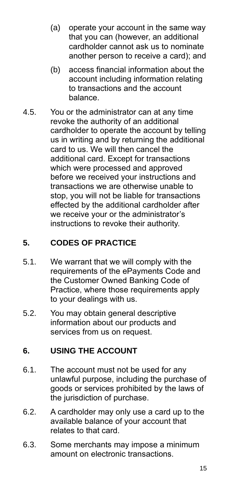- (a) operate your account in the same way that you can (however, an additional cardholder cannot ask us to nominate another person to receive a card); and
- (b) access financial information about the account including information relating to transactions and the account balance.
- 4.5. You or the administrator can at any time revoke the authority of an additional cardholder to operate the account by telling us in writing and by returning the additional card to us. We will then cancel the additional card. Except for transactions which were processed and approved before we received your instructions and transactions we are otherwise unable to stop, you will not be liable for transactions effected by the additional cardholder after we receive your or the administrator's instructions to revoke their authority.

# **5. CODES OF PRACTICE**

- 5.1. We warrant that we will comply with the requirements of the ePayments Code and the Customer Owned Banking Code of Practice, where those requirements apply to your dealings with us.
- 5.2. You may obtain general descriptive information about our products and services from us on request.

# **6. USING THE ACCOUNT**

- 6.1. The account must not be used for any unlawful purpose, including the purchase of goods or services prohibited by the laws of the jurisdiction of purchase.
- 6.2. A cardholder may only use a card up to the available balance of your account that relates to that card.
- 6.3. Some merchants may impose a minimum amount on electronic transactions.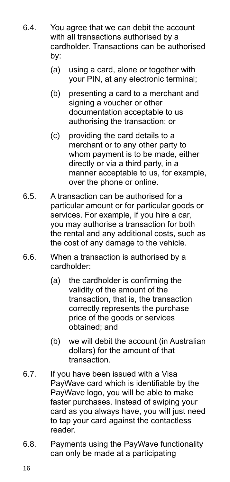- 6.4. You agree that we can debit the account with all transactions authorised by a cardholder. Transactions can be authorised by:
	- (a) using a card, alone or together with your PIN, at any electronic terminal;
	- (b) presenting a card to a merchant and signing a voucher or other documentation acceptable to us authorising the transaction; or
	- (c) providing the card details to a merchant or to any other party to whom payment is to be made, either directly or via a third party, in a manner acceptable to us, for example, over the phone or online.
- 6.5. A transaction can be authorised for a particular amount or for particular goods or services. For example, if you hire a car, you may authorise a transaction for both the rental and any additional costs, such as the cost of any damage to the vehicle.
- 6.6. When a transaction is authorised by a cardholder:
	- (a) the cardholder is confirming the validity of the amount of the transaction, that is, the transaction correctly represents the purchase price of the goods or services obtained; and
	- (b) we will debit the account (in Australian dollars) for the amount of that transaction.
- 6.7. If you have been issued with a Visa PayWave card which is identifiable by the PayWave logo, you will be able to make faster purchases. Instead of swiping your card as you always have, you will just need to tap your card against the contactless reader.
- 6.8. Payments using the PayWave functionality can only be made at a participating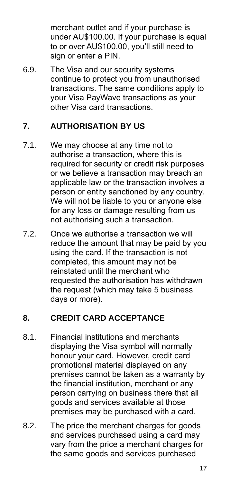merchant outlet and if your purchase is under AU\$100.00. If your purchase is equal to or over AU\$100.00, you'll still need to sign or enter a PIN.

6.9. The Visa and our security systems continue to protect you from unauthorised transactions. The same conditions apply to your Visa PayWave transactions as your other Visa card transactions.

#### **7. AUTHORISATION BY US**

- 7.1. We may choose at any time not to authorise a transaction, where this is required for security or credit risk purposes or we believe a transaction may breach an applicable law or the transaction involves a person or entity sanctioned by any country. We will not be liable to you or anyone else for any loss or damage resulting from us not authorising such a transaction.
- 7.2. Once we authorise a transaction we will reduce the amount that may be paid by you using the card. If the transaction is not completed, this amount may not be reinstated until the merchant who requested the authorisation has withdrawn the request (which may take 5 business days or more).

# **8. CREDIT CARD ACCEPTANCE**

- 8.1. Financial institutions and merchants displaying the Visa symbol will normally honour your card. However, credit card promotional material displayed on any premises cannot be taken as a warranty by the financial institution, merchant or any person carrying on business there that all goods and services available at those premises may be purchased with a card.
- 8.2. The price the merchant charges for goods and services purchased using a card may vary from the price a merchant charges for the same goods and services purchased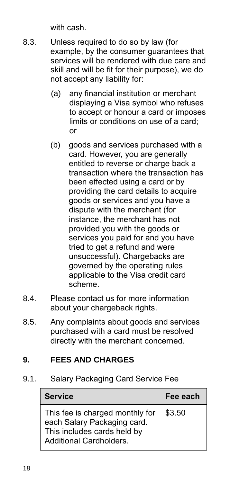with cash.

- 8.3. Unless required to do so by law (for example, by the consumer guarantees that services will be rendered with due care and skill and will be fit for their purpose), we do not accept any liability for:
	- (a) any financial institution or merchant displaying a Visa symbol who refuses to accept or honour a card or imposes limits or conditions on use of a card; or
	- (b) goods and services purchased with a card. However, you are generally entitled to reverse or charge back a transaction where the transaction has been effected using a card or by providing the card details to acquire goods or services and you have a dispute with the merchant (for instance, the merchant has not provided you with the goods or services you paid for and you have tried to get a refund and were unsuccessful). Chargebacks are governed by the operating rules applicable to the Visa credit card scheme.
- 8.4. Please contact us for more information about your chargeback rights.
- 8.5. Any complaints about goods and services purchased with a card must be resolved directly with the merchant concerned.

#### **9. FEES AND CHARGES**

9.1. Salary Packaging Card Service Fee

| <b>Service</b>                                                                                                                  | Fee each |
|---------------------------------------------------------------------------------------------------------------------------------|----------|
| This fee is charged monthly for<br>each Salary Packaging card.<br>This includes cards held by<br><b>Additional Cardholders.</b> | \$3.50   |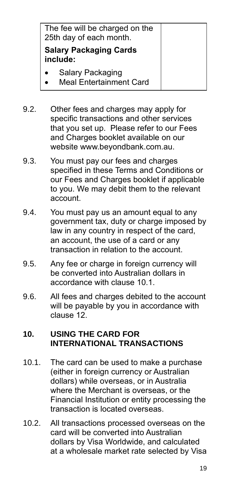| The fee will be charged on the<br>25th day of each month. |  |
|-----------------------------------------------------------|--|
| <b>Salary Packaging Cards</b><br>include:                 |  |
| Salary Packaging<br><b>Meal Entertainment Card</b>        |  |

9.2. Other fees and charges may apply for specific transactions and other services that you set up. Please refer to our Fees and Charges booklet available on our website www.beyondbank.com.au.

- 9.3. You must pay our fees and charges specified in these Terms and Conditions or our Fees and Charges booklet if applicable to you. We may debit them to the relevant account.
- 9.4. You must pay us an amount equal to any government tax, duty or charge imposed by law in any country in respect of the card, an account, the use of a card or any transaction in relation to the account.
- 9.5. Any fee or charge in foreign currency will be converted into Australian dollars in accordance with clause 10.1.
- 9.6. All fees and charges debited to the account will be payable by you in accordance with clause 12.

#### **10. USING THE CARD FOR INTERNATIONAL TRANSACTIONS**

- 10.1. The card can be used to make a purchase (either in foreign currency or Australian dollars) while overseas, or in Australia where the Merchant is overseas, or the Financial Institution or entity processing the transaction is located overseas.
- 10.2. All transactions processed overseas on the card will be converted into Australian dollars by Visa Worldwide, and calculated at a wholesale market rate selected by Visa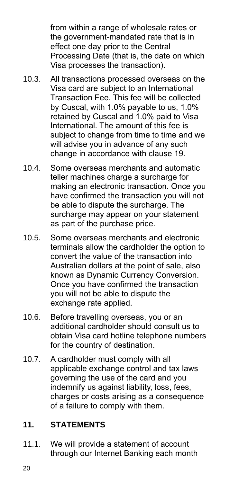from within a range of wholesale rates or the government-mandated rate that is in effect one day prior to the Central Processing Date (that is, the date on which Visa processes the transaction).

- 10.3. All transactions processed overseas on the Visa card are subject to an International Transaction Fee. This fee will be collected by Cuscal, with 1.0% payable to us, 1.0% retained by Cuscal and 1.0% paid to Visa International. The amount of this fee is subject to change from time to time and we will advise you in advance of any such change in accordance with clause 19.
- 10.4. Some overseas merchants and automatic teller machines charge a surcharge for making an electronic transaction. Once you have confirmed the transaction you will not be able to dispute the surcharge. The surcharge may appear on your statement as part of the purchase price.
- 10.5. Some overseas merchants and electronic terminals allow the cardholder the option to convert the value of the transaction into Australian dollars at the point of sale, also known as Dynamic Currency Conversion. Once you have confirmed the transaction you will not be able to dispute the exchange rate applied.
- 10.6. Before travelling overseas, you or an additional cardholder should consult us to obtain Visa card hotline telephone numbers for the country of destination.
- 10.7. A cardholder must comply with all applicable exchange control and tax laws governing the use of the card and you indemnify us against liability, loss, fees, charges or costs arising as a consequence of a failure to comply with them.

# **11. STATEMENTS**

11.1. We will provide a statement of account through our Internet Banking each month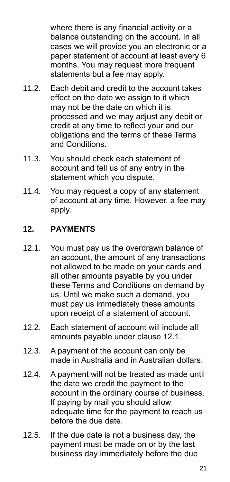where there is any financial activity or a balance outstanding on the account. In all cases we will provide you an electronic or a paper statement of account at least every 6 months. You may request more frequent statements but a fee may apply.

- 11.2. Each debit and credit to the account takes effect on the date we assign to it which may not be the date on which it is processed and we may adjust any debit or credit at any time to reflect your and our obligations and the terms of these Terms and Conditions.
- 11.3. You should check each statement of account and tell us of any entry in the statement which you dispute.
- 11.4. You may request a copy of any statement of account at any time. However, a fee may apply.

# **12. PAYMENTS**

- 12.1. You must pay us the overdrawn balance of an account, the amount of any transactions not allowed to be made on your cards and all other amounts payable by you under these Terms and Conditions on demand by us. Until we make such a demand, you must pay us immediately these amounts upon receipt of a statement of account.
- 12.2. Each statement of account will include all amounts payable under clause 12.1.
- 12.3. A payment of the account can only be made in Australia and in Australian dollars.
- 12.4. A payment will not be treated as made until the date we credit the payment to the account in the ordinary course of business. If paying by mail you should allow adequate time for the payment to reach us before the due date.
- 12.5. If the due date is not a business day, the payment must be made on or by the last business day immediately before the due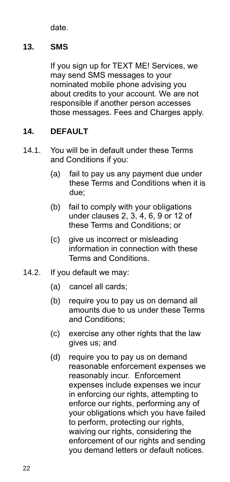date.

# **13. SMS**

If you sign up for TEXT ME! Services, we may send SMS messages to your nominated mobile phone advising you about credits to your account. We are not responsible if another person accesses those messages. Fees and Charges apply.

# **14. DEFAULT**

- 14.1. You will be in default under these Terms and Conditions if you:
	- (a) fail to pay us any payment due under these Terms and Conditions when it is due;
	- (b) fail to comply with your obligations under clauses 2, 3, 4, 6, 9 or 12 of these Terms and Conditions; or
	- (c) give us incorrect or misleading information in connection with these Terms and Conditions.
- 14.2. If you default we may:
	- (a) cancel all cards;
	- (b) require you to pay us on demand all amounts due to us under these Terms and Conditions;
	- (c) exercise any other rights that the law gives us; and
	- (d) require you to pay us on demand reasonable enforcement expenses we reasonably incur. Enforcement expenses include expenses we incur in enforcing our rights, attempting to enforce our rights, performing any of your obligations which you have failed to perform, protecting our rights, waiving our rights, considering the enforcement of our rights and sending you demand letters or default notices.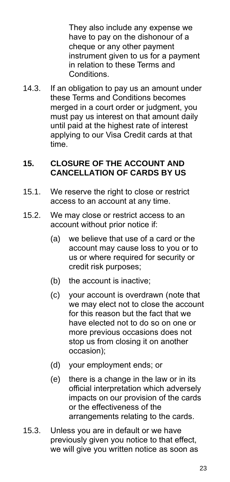They also include any expense we have to pay on the dishonour of a cheque or any other payment instrument given to us for a payment in relation to these Terms and Conditions.

14.3. If an obligation to pay us an amount under these Terms and Conditions becomes merged in a court order or judgment, you must pay us interest on that amount daily until paid at the highest rate of interest applying to our Visa Credit cards at that time.

#### **15. CLOSURE OF THE ACCOUNT AND CANCELLATION OF CARDS BY US**

- 15.1. We reserve the right to close or restrict access to an account at any time.
- 15.2. We may close or restrict access to an account without prior notice if:
	- (a) we believe that use of a card or the account may cause loss to you or to us or where required for security or credit risk purposes;
	- (b) the account is inactive;
	- (c) your account is overdrawn (note that we may elect not to close the account for this reason but the fact that we have elected not to do so on one or more previous occasions does not stop us from closing it on another occasion);
	- (d) your employment ends; or
	- (e) there is a change in the law or in its official interpretation which adversely impacts on our provision of the cards or the effectiveness of the arrangements relating to the cards.
- 15.3. Unless you are in default or we have previously given you notice to that effect, we will give you written notice as soon as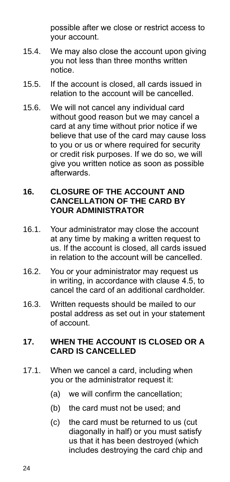possible after we close or restrict access to your account.

- 15.4. We may also close the account upon giving you not less than three months written notice.
- 15.5. If the account is closed, all cards issued in relation to the account will be cancelled.
- 15.6. We will not cancel any individual card without good reason but we may cancel a card at any time without prior notice if we believe that use of the card may cause loss to you or us or where required for security or credit risk purposes. If we do so, we will give you written notice as soon as possible afterwards.

#### **16. CLOSURE OF THE ACCOUNT AND CANCELLATION OF THE CARD BY YOUR ADMINISTRATOR**

- 16.1. Your administrator may close the account at any time by making a written request to us. If the account is closed, all cards issued in relation to the account will be cancelled.
- 16.2. You or your administrator may request us in writing, in accordance with clause 4.5, to cancel the card of an additional cardholder.
- 16.3. Written requests should be mailed to our postal address as set out in your statement of account.

#### **17. WHEN THE ACCOUNT IS CLOSED OR A CARD IS CANCELLED**

- 17.1. When we cancel a card, including when you or the administrator request it:
	- (a) we will confirm the cancellation;
	- (b) the card must not be used; and
	- (c) the card must be returned to us (cut diagonally in half) or you must satisfy us that it has been destroyed (which includes destroying the card chip and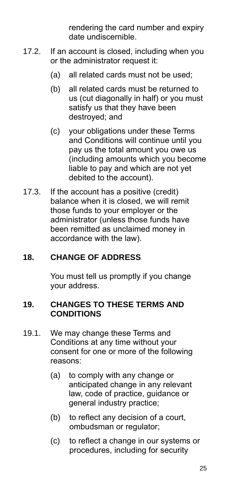rendering the card number and expiry date undiscernible.

- 17.2. If an account is closed, including when you or the administrator request it:
	- (a) all related cards must not be used;
	- (b) all related cards must be returned to us (cut diagonally in half) or you must satisfy us that they have been destroyed; and
	- (c) your obligations under these Terms and Conditions will continue until you pay us the total amount you owe us (including amounts which you become liable to pay and which are not yet debited to the account).
- 17.3. If the account has a positive (credit) balance when it is closed, we will remit those funds to your employer or the administrator (unless those funds have been remitted as unclaimed money in accordance with the law).

# **18. CHANGE OF ADDRESS**

You must tell us promptly if you change your address.

#### **19. CHANGES TO THESE TERMS AND CONDITIONS**

- 19.1. We may change these Terms and Conditions at any time without your consent for one or more of the following reasons:
	- (a) to comply with any change or anticipated change in any relevant law, code of practice, guidance or general industry practice;
	- (b) to reflect any decision of a court, ombudsman or regulator;
	- (c) to reflect a change in our systems or procedures, including for security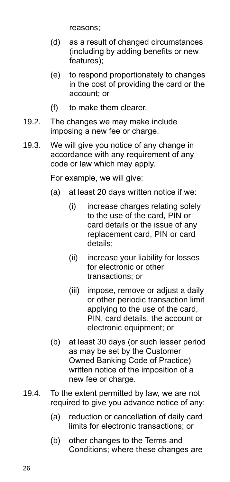reasons;

- (d) as a result of changed circumstances (including by adding benefits or new features);
- (e) to respond proportionately to changes in the cost of providing the card or the account; or
- (f) to make them clearer.
- 19.2. The changes we may make include imposing a new fee or charge.
- 19.3. We will give you notice of any change in accordance with any requirement of any code or law which may apply.

For example, we will give:

- (a) at least 20 days written notice if we:
	- (i) increase charges relating solely to the use of the card, PIN or card details or the issue of any replacement card, PIN or card details;
	- (ii) increase your liability for losses for electronic or other transactions; or
	- (iii) impose, remove or adjust a daily or other periodic transaction limit applying to the use of the card, PIN, card details, the account or electronic equipment; or
- (b) at least 30 days (or such lesser period as may be set by the Customer Owned Banking Code of Practice) written notice of the imposition of a new fee or charge.
- 19.4. To the extent permitted by law, we are not required to give you advance notice of any:
	- (a) reduction or cancellation of daily card limits for electronic transactions; or
	- (b) other changes to the Terms and Conditions; where these changes are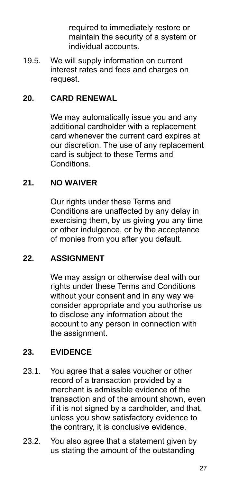required to immediately restore or maintain the security of a system or individual accounts.

19.5. We will supply information on current interest rates and fees and charges on request.

## **20. CARD RENEWAL**

We may automatically issue you and any additional cardholder with a replacement card whenever the current card expires at our discretion. The use of any replacement card is subject to these Terms and Conditions.

#### **21. NO WAIVER**

Our rights under these Terms and Conditions are unaffected by any delay in exercising them, by us giving you any time or other indulgence, or by the acceptance of monies from you after you default.

#### **22. ASSIGNMENT**

We may assign or otherwise deal with our rights under these Terms and Conditions without your consent and in any way we consider appropriate and you authorise us to disclose any information about the account to any person in connection with the assignment.

#### **23. EVIDENCE**

- 23.1. You agree that a sales voucher or other record of a transaction provided by a merchant is admissible evidence of the transaction and of the amount shown, even if it is not signed by a cardholder, and that, unless you show satisfactory evidence to the contrary, it is conclusive evidence.
- 23.2. You also agree that a statement given by us stating the amount of the outstanding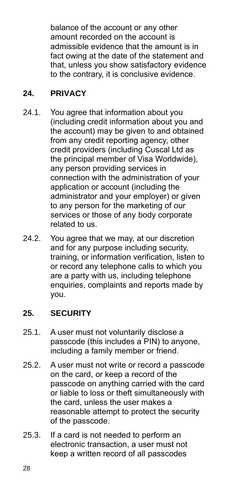balance of the account or any other amount recorded on the account is admissible evidence that the amount is in fact owing at the date of the statement and that, unless you show satisfactory evidence to the contrary, it is conclusive evidence.

## **24. PRIVACY**

- 24.1. You agree that information about you (including credit information about you and the account) may be given to and obtained from any credit reporting agency, other credit providers (including Cuscal Ltd as the principal member of Visa Worldwide), any person providing services in connection with the administration of your application or account (including the administrator and your employer) or given to any person for the marketing of our services or those of any body corporate related to us.
- 24.2. You agree that we may, at our discretion and for any purpose including security, training, or information verification, listen to or record any telephone calls to which you are a party with us, including telephone enquiries, complaints and reports made by you.

# **25. SECURITY**

- 25.1. A user must not voluntarily disclose a passcode (this includes a PIN) to anyone, including a family member or friend.
- 25.2. A user must not write or record a passcode on the card, or keep a record of the passcode on anything carried with the card or liable to loss or theft simultaneously with the card, unless the user makes a reasonable attempt to protect the security of the passcode.
- 25.3. If a card is not needed to perform an electronic transaction, a user must not keep a written record of all passcodes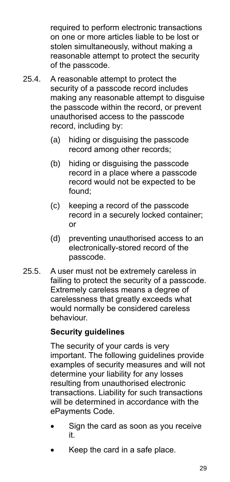required to perform electronic transactions on one or more articles liable to be lost or stolen simultaneously, without making a reasonable attempt to protect the security of the passcode.

- 25.4. A reasonable attempt to protect the security of a passcode record includes making any reasonable attempt to disguise the passcode within the record, or prevent unauthorised access to the passcode record, including by:
	- (a) hiding or disguising the passcode record among other records;
	- (b) hiding or disguising the passcode record in a place where a passcode record would not be expected to be found;
	- (c) keeping a record of the passcode record in a securely locked container; or
	- (d) preventing unauthorised access to an electronically-stored record of the passcode.
- 25.5. A user must not be extremely careless in failing to protect the security of a passcode. Extremely careless means a degree of carelessness that greatly exceeds what would normally be considered careless behaviour.

# **Security guidelines**

The security of your cards is very important. The following guidelines provide examples of security measures and will not determine your liability for any losses resulting from unauthorised electronic transactions. Liability for such transactions will be determined in accordance with the ePayments Code.

- Sign the card as soon as you receive it.
- Keep the card in a safe place.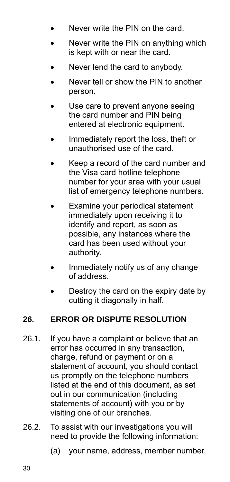- Never write the PIN on the card.
- Never write the PIN on anything which is kept with or near the card.
- Never lend the card to anybody.
- Never tell or show the PIN to another person.
- Use care to prevent anyone seeing the card number and PIN being entered at electronic equipment.
- Immediately report the loss, theft or unauthorised use of the card.
- Keep a record of the card number and the Visa card hotline telephone number for your area with your usual list of emergency telephone numbers.
- Examine your periodical statement immediately upon receiving it to identify and report, as soon as possible, any instances where the card has been used without your authority.
- Immediately notify us of any change of address.
- Destroy the card on the expiry date by cutting it diagonally in half.

# **26. ERROR OR DISPUTE RESOLUTION**

- 26.1. If you have a complaint or believe that an error has occurred in any transaction, charge, refund or payment or on a statement of account, you should contact us promptly on the telephone numbers listed at the end of this document, as set out in our communication (including statements of account) with you or by visiting one of our branches.
- 26.2. To assist with our investigations you will need to provide the following information:
	- (a) your name, address, member number,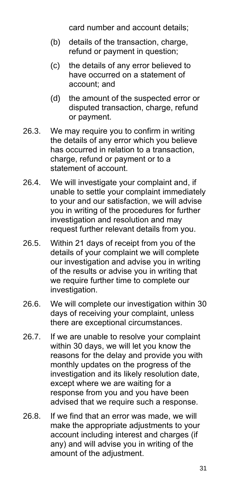card number and account details;

- (b) details of the transaction, charge, refund or payment in question;
- (c) the details of any error believed to have occurred on a statement of account; and
- (d) the amount of the suspected error or disputed transaction, charge, refund or payment.
- 26.3. We may require you to confirm in writing the details of any error which you believe has occurred in relation to a transaction, charge, refund or payment or to a statement of account.
- 26.4. We will investigate your complaint and, if unable to settle your complaint immediately to your and our satisfaction, we will advise you in writing of the procedures for further investigation and resolution and may request further relevant details from you.
- 26.5. Within 21 days of receipt from you of the details of your complaint we will complete our investigation and advise you in writing of the results or advise you in writing that we require further time to complete our investigation.
- 26.6. We will complete our investigation within 30 days of receiving your complaint, unless there are exceptional circumstances.
- 26.7. If we are unable to resolve your complaint within 30 days, we will let you know the reasons for the delay and provide you with monthly updates on the progress of the investigation and its likely resolution date, except where we are waiting for a response from you and you have been advised that we require such a response.
- 26.8. If we find that an error was made, we will make the appropriate adjustments to your account including interest and charges (if any) and will advise you in writing of the amount of the adjustment.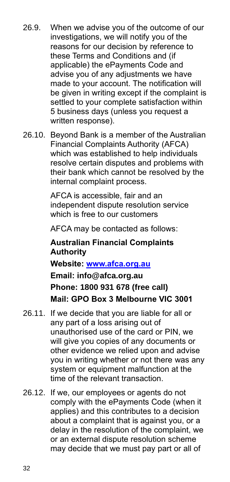- 26.9. When we advise you of the outcome of our investigations, we will notify you of the reasons for our decision by reference to these Terms and Conditions and (if applicable) the ePayments Code and advise you of any adjustments we have made to your account. The notification will be given in writing except if the complaint is settled to your complete satisfaction within 5 business days (unless you request a written response).
- 26.10. Beyond Bank is a member of the Australian Financial Complaints Authority (AFCA) which was established to help individuals resolve certain disputes and problems with their bank which cannot be resolved by the internal complaint process.

AFCA is accessible, fair and an independent dispute resolution service which is free to our customers

AFCA may be contacted as follows:

# **Australian Financial Complaints Authority Website: [www.afca.org.au](http://www.afca.org.au/) Email: [info@afca.org.au](mailto:info@fos.org.au) Phone: 1800 931 678 (free call) Mail: GPO Box 3 Melbourne VIC 3001**

- 26.11. If we decide that you are liable for all or any part of a loss arising out of unauthorised use of the card or PIN, we will give you copies of any documents or other evidence we relied upon and advise you in writing whether or not there was any system or equipment malfunction at the time of the relevant transaction.
- 26.12. If we, our employees or agents do not comply with the ePayments Code (when it applies) and this contributes to a decision about a complaint that is against you, or a delay in the resolution of the complaint, we or an external dispute resolution scheme may decide that we must pay part or all of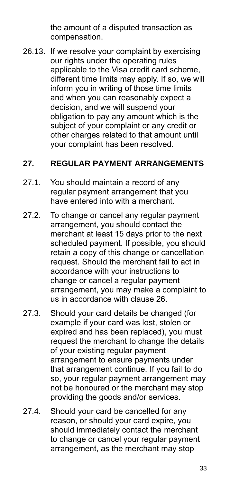the amount of a disputed transaction as compensation.

26.13. If we resolve your complaint by exercising our rights under the operating rules applicable to the Visa credit card scheme, different time limits may apply. If so, we will inform you in writing of those time limits and when you can reasonably expect a decision, and we will suspend your obligation to pay any amount which is the subject of your complaint or any credit or other charges related to that amount until your complaint has been resolved.

#### **27. REGULAR PAYMENT ARRANGEMENTS**

- 27.1. You should maintain a record of any regular payment arrangement that you have entered into with a merchant.
- 27.2. To change or cancel any regular payment arrangement, you should contact the merchant at least 15 days prior to the next scheduled payment. If possible, you should retain a copy of this change or cancellation request. Should the merchant fail to act in accordance with your instructions to change or cancel a regular payment arrangement, you may make a complaint to us in accordance with clause 26.
- 27.3. Should your card details be changed (for example if your card was lost, stolen or expired and has been replaced), you must request the merchant to change the details of your existing regular payment arrangement to ensure payments under that arrangement continue. If you fail to do so, your regular payment arrangement may not be honoured or the merchant may stop providing the goods and/or services.
- 27.4. Should your card be cancelled for any reason, or should your card expire, you should immediately contact the merchant to change or cancel your regular payment arrangement, as the merchant may stop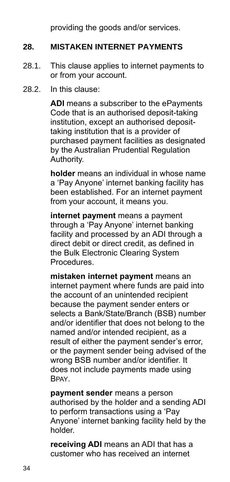providing the goods and/or services.

## **28. MISTAKEN INTERNET PAYMENTS**

- 28.1. This clause applies to internet payments to or from your account.
- 28.2. In this clause:

**ADI** means a subscriber to the ePayments Code that is an authorised deposit-taking institution, except an authorised deposittaking institution that is a provider of purchased payment facilities as designated by the Australian Prudential Regulation Authority.

**holder** means an individual in whose name a 'Pay Anyone' internet banking facility has been established. For an internet payment from your account, it means you.

**internet payment** means a payment through a 'Pay Anyone' internet banking facility and processed by an ADI through a direct debit or direct credit, as defined in the Bulk Electronic Clearing System Procedures.

**mistaken internet payment** means an internet payment where funds are paid into the account of an unintended recipient because the payment sender enters or selects a Bank/State/Branch (BSB) number and/or identifier that does not belong to the named and/or intended recipient, as a result of either the payment sender's error, or the payment sender being advised of the wrong BSB number and/or identifier. It does not include payments made using **BPAY** 

**payment sender** means a person authorised by the holder and a sending ADI to perform transactions using a 'Pay Anyone' internet banking facility held by the holder.

**receiving ADI** means an ADI that has a customer who has received an internet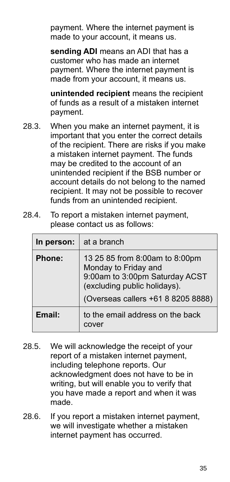payment. Where the internet payment is made to your account, it means us.

**sending ADI** means an ADI that has a customer who has made an internet payment. Where the internet payment is made from your account, it means us.

**unintended recipient** means the recipient of funds as a result of a mistaken internet payment.

- 28.3. When you make an internet payment, it is important that you enter the correct details of the recipient. There are risks if you make a mistaken internet payment. The funds may be credited to the account of an unintended recipient if the BSB number or account details do not belong to the named recipient. It may not be possible to recover funds from an unintended recipient.
- 28.4. To report a mistaken internet payment, please contact us as follows:

| In person: | at a branch                                                                                                                                                    |
|------------|----------------------------------------------------------------------------------------------------------------------------------------------------------------|
| Phone:     | 13 25 85 from 8:00am to 8:00pm<br>Monday to Friday and<br>9:00am to 3:00pm Saturday ACST<br>(excluding public holidays).<br>(Overseas callers +61 8 8205 8888) |
| Email:     | to the email address on the back<br>cover                                                                                                                      |

- 28.5. We will acknowledge the receipt of your report of a mistaken internet payment, including telephone reports. Our acknowledgment does not have to be in writing, but will enable you to verify that you have made a report and when it was made.
- 28.6. If you report a mistaken internet payment, we will investigate whether a mistaken internet payment has occurred.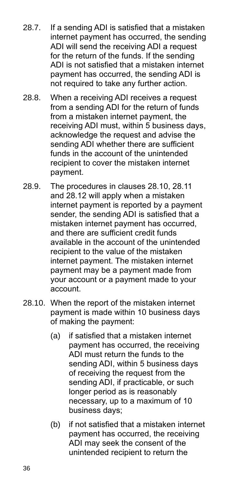- 28.7. If a sending ADI is satisfied that a mistaken internet payment has occurred, the sending ADI will send the receiving ADI a request for the return of the funds. If the sending ADI is not satisfied that a mistaken internet payment has occurred, the sending ADI is not required to take any further action.
- 28.8. When a receiving ADI receives a request from a sending ADI for the return of funds from a mistaken internet payment, the receiving ADI must, within 5 business days, acknowledge the request and advise the sending ADI whether there are sufficient funds in the account of the unintended recipient to cover the mistaken internet payment.
- 28.9. The procedures in clauses 28.10, 28.11 and 28.12 will apply when a mistaken internet payment is reported by a payment sender, the sending ADI is satisfied that a mistaken internet payment has occurred, and there are sufficient credit funds available in the account of the unintended recipient to the value of the mistaken internet payment. The mistaken internet payment may be a payment made from your account or a payment made to your account.
- 28.10. When the report of the mistaken internet payment is made within 10 business days of making the payment:
	- (a) if satisfied that a mistaken internet payment has occurred, the receiving ADI must return the funds to the sending ADI, within 5 business days of receiving the request from the sending ADI, if practicable, or such longer period as is reasonably necessary, up to a maximum of 10 business days;
	- (b) if not satisfied that a mistaken internet payment has occurred, the receiving ADI may seek the consent of the unintended recipient to return the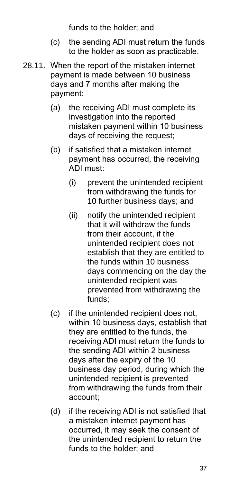funds to the holder; and

- (c) the sending ADI must return the funds to the holder as soon as practicable.
- 28.11. When the report of the mistaken internet payment is made between 10 business days and 7 months after making the payment:
	- (a) the receiving ADI must complete its investigation into the reported mistaken payment within 10 business days of receiving the request;
	- (b) if satisfied that a mistaken internet payment has occurred, the receiving ADI must:
		- (i) prevent the unintended recipient from withdrawing the funds for 10 further business days; and
		- (ii) notify the unintended recipient that it will withdraw the funds from their account, if the unintended recipient does not establish that they are entitled to the funds within 10 business days commencing on the day the unintended recipient was prevented from withdrawing the funds;
	- (c) if the unintended recipient does not, within 10 business days, establish that they are entitled to the funds, the receiving ADI must return the funds to the sending ADI within 2 business days after the expiry of the 10 business day period, during which the unintended recipient is prevented from withdrawing the funds from their account;
	- (d) if the receiving ADI is not satisfied that a mistaken internet payment has occurred, it may seek the consent of the unintended recipient to return the funds to the holder; and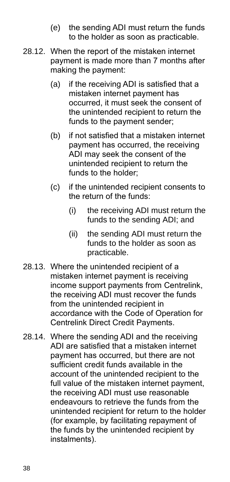- (e) the sending ADI must return the funds to the holder as soon as practicable.
- 28.12. When the report of the mistaken internet payment is made more than 7 months after making the payment:
	- (a) if the receiving ADI is satisfied that a mistaken internet payment has occurred, it must seek the consent of the unintended recipient to return the funds to the payment sender;
	- (b) if not satisfied that a mistaken internet payment has occurred, the receiving ADI may seek the consent of the unintended recipient to return the funds to the holder;
	- (c) if the unintended recipient consents to the return of the funds:
		- (i) the receiving ADI must return the funds to the sending ADI; and
		- (ii) the sending ADI must return the funds to the holder as soon as practicable.
- 28.13. Where the unintended recipient of a mistaken internet payment is receiving income support payments from Centrelink, the receiving ADI must recover the funds from the unintended recipient in accordance with the Code of Operation for Centrelink Direct Credit Payments.
- 28.14. Where the sending ADI and the receiving ADI are satisfied that a mistaken internet payment has occurred, but there are not sufficient credit funds available in the account of the unintended recipient to the full value of the mistaken internet payment, the receiving ADI must use reasonable endeavours to retrieve the funds from the unintended recipient for return to the holder (for example, by facilitating repayment of the funds by the unintended recipient by instalments).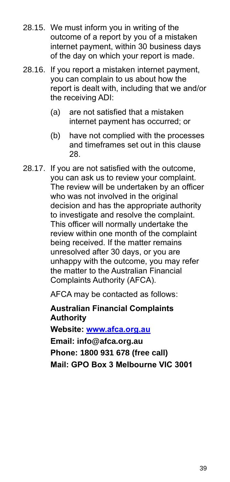- 28.15. We must inform you in writing of the outcome of a report by you of a mistaken internet payment, within 30 business days of the day on which your report is made.
- 28.16. If you report a mistaken internet payment, you can complain to us about how the report is dealt with, including that we and/or the receiving ADI:
	- (a) are not satisfied that a mistaken internet payment has occurred; or
	- (b) have not complied with the processes and timeframes set out in this clause 28.
- 28.17. If you are not satisfied with the outcome, you can ask us to review your complaint. The review will be undertaken by an officer who was not involved in the original decision and has the appropriate authority to investigate and resolve the complaint. This officer will normally undertake the review within one month of the complaint being received. If the matter remains unresolved after 30 days, or you are unhappy with the outcome, you may refer the matter to the Australian Financial Complaints Authority (AFCA).

AFCA may be contacted as follows:

**Australian Financial Complaints Authority Website: [www.afca.org.au](http://www.afca.org.au/)**

**Email: [info@afca.org.au](mailto:info@fos.org.au) Phone: 1800 931 678 (free call) Mail: GPO Box 3 Melbourne VIC 3001**